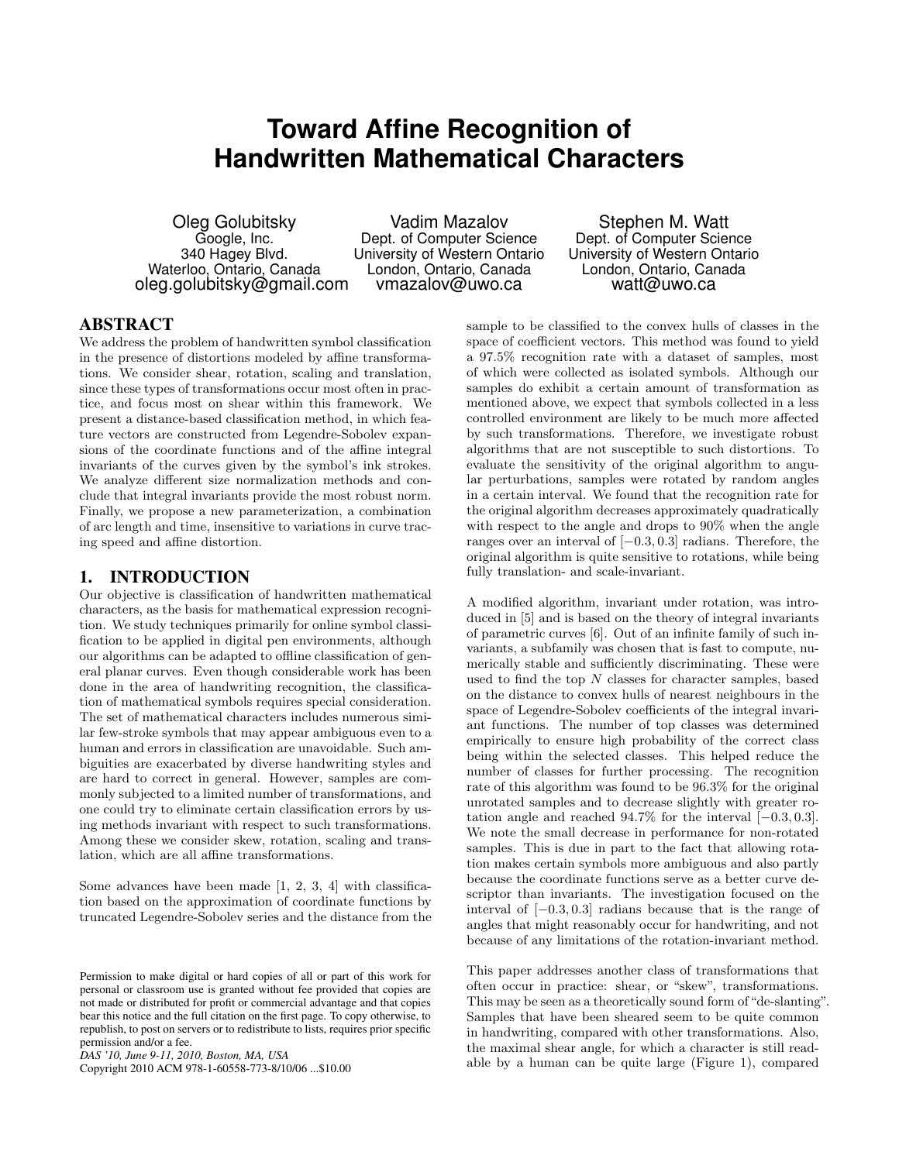# **Toward Affine Recognition of Handwritten Mathematical Characters**

Oleg Golubitsky Google, Inc. 340 Hagey Blvd. Waterloo, Ontario, Canada oleg.golubitsky@gmail.com

Vadim Mazalov Dept. of Computer Science University of Western Ontario London, Ontario, Canada vmazalov@uwo.ca

Stephen M. Watt Dept. of Computer Science University of Western Ontario London, Ontario, Canada watt@uwo.ca

# ABSTRACT

We address the problem of handwritten symbol classification in the presence of distortions modeled by affine transformations. We consider shear, rotation, scaling and translation, since these types of transformations occur most often in practice, and focus most on shear within this framework. We present a distance-based classification method, in which feature vectors are constructed from Legendre-Sobolev expansions of the coordinate functions and of the affine integral invariants of the curves given by the symbol's ink strokes. We analyze different size normalization methods and conclude that integral invariants provide the most robust norm. Finally, we propose a new parameterization, a combination of arc length and time, insensitive to variations in curve tracing speed and affine distortion.

### 1. INTRODUCTION

Our objective is classification of handwritten mathematical characters, as the basis for mathematical expression recognition. We study techniques primarily for online symbol classification to be applied in digital pen environments, although our algorithms can be adapted to offline classification of general planar curves. Even though considerable work has been done in the area of handwriting recognition, the classification of mathematical symbols requires special consideration. The set of mathematical characters includes numerous similar few-stroke symbols that may appear ambiguous even to a human and errors in classification are unavoidable. Such ambiguities are exacerbated by diverse handwriting styles and are hard to correct in general. However, samples are commonly subjected to a limited number of transformations, and one could try to eliminate certain classification errors by using methods invariant with respect to such transformations. Among these we consider skew, rotation, scaling and translation, which are all affine transformations.

Some advances have been made [1, 2, 3, 4] with classification based on the approximation of coordinate functions by truncated Legendre-Sobolev series and the distance from the

*DAS '10, June 9-11, 2010, Boston, MA, USA*

Copyright 2010 ACM 978-1-60558-773-8/10/06 ...\$10.00

sample to be classified to the convex hulls of classes in the space of coefficient vectors. This method was found to yield a 97.5% recognition rate with a dataset of samples, most of which were collected as isolated symbols. Although our samples do exhibit a certain amount of transformation as mentioned above, we expect that symbols collected in a less controlled environment are likely to be much more affected by such transformations. Therefore, we investigate robust algorithms that are not susceptible to such distortions. To evaluate the sensitivity of the original algorithm to angular perturbations, samples were rotated by random angles in a certain interval. We found that the recognition rate for the original algorithm decreases approximately quadratically with respect to the angle and drops to 90% when the angle ranges over an interval of [−0.3, 0.3] radians. Therefore, the original algorithm is quite sensitive to rotations, while being fully translation- and scale-invariant.

A modified algorithm, invariant under rotation, was introduced in [5] and is based on the theory of integral invariants of parametric curves [6]. Out of an infinite family of such invariants, a subfamily was chosen that is fast to compute, numerically stable and sufficiently discriminating. These were used to find the top  $N$  classes for character samples, based on the distance to convex hulls of nearest neighbours in the space of Legendre-Sobolev coefficients of the integral invariant functions. The number of top classes was determined empirically to ensure high probability of the correct class being within the selected classes. This helped reduce the number of classes for further processing. The recognition rate of this algorithm was found to be 96.3% for the original unrotated samples and to decrease slightly with greater rotation angle and reached  $94.7\%$  for the interval  $[-0.3, 0.3]$ . We note the small decrease in performance for non-rotated samples. This is due in part to the fact that allowing rotation makes certain symbols more ambiguous and also partly because the coordinate functions serve as a better curve descriptor than invariants. The investigation focused on the interval of [−0.3, 0.3] radians because that is the range of angles that might reasonably occur for handwriting, and not because of any limitations of the rotation-invariant method.

This paper addresses another class of transformations that often occur in practice: shear, or "skew", transformations. This may be seen as a theoretically sound form of "de-slanting". Samples that have been sheared seem to be quite common in handwriting, compared with other transformations. Also, the maximal shear angle, for which a character is still readable by a human can be quite large (Figure 1), compared

Permission to make digital or hard copies of all or part of this work for personal or classroom use is granted without fee provided that copies are not made or distributed for profit or commercial advantage and that copies bear this notice and the full citation on the first page. To copy otherwise, to republish, to post on servers or to redistribute to lists, requires prior specific permission and/or a fee.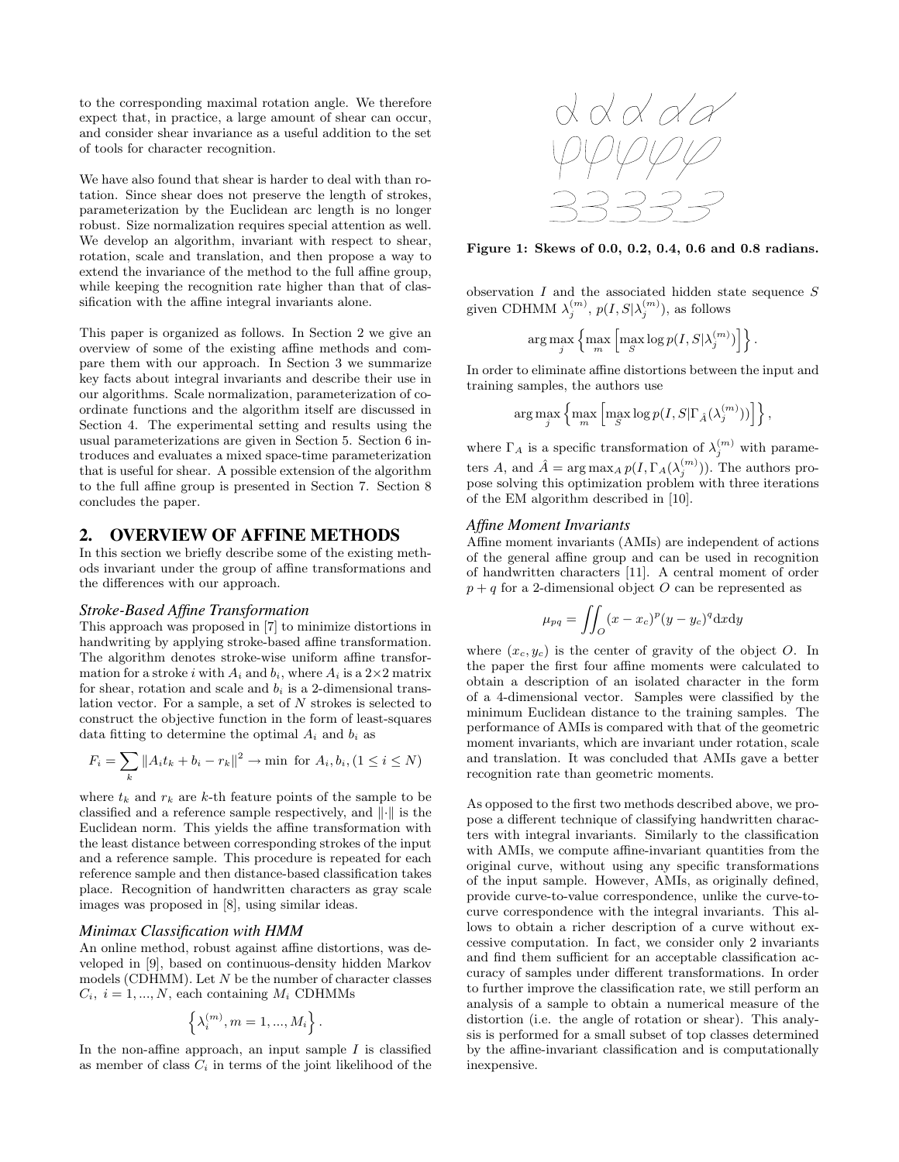to the corresponding maximal rotation angle. We therefore expect that, in practice, a large amount of shear can occur, and consider shear invariance as a useful addition to the set of tools for character recognition.

We have also found that shear is harder to deal with than rotation. Since shear does not preserve the length of strokes, parameterization by the Euclidean arc length is no longer robust. Size normalization requires special attention as well. We develop an algorithm, invariant with respect to shear, rotation, scale and translation, and then propose a way to extend the invariance of the method to the full affine group, while keeping the recognition rate higher than that of classification with the affine integral invariants alone.

This paper is organized as follows. In Section 2 we give an overview of some of the existing affine methods and compare them with our approach. In Section 3 we summarize key facts about integral invariants and describe their use in our algorithms. Scale normalization, parameterization of coordinate functions and the algorithm itself are discussed in Section 4. The experimental setting and results using the usual parameterizations are given in Section 5. Section 6 introduces and evaluates a mixed space-time parameterization that is useful for shear. A possible extension of the algorithm to the full affine group is presented in Section 7. Section 8 concludes the paper.

# 2. OVERVIEW OF AFFINE METHODS

In this section we briefly describe some of the existing methods invariant under the group of affine transformations and the differences with our approach.

#### *Stroke-Based Affine Transformation*

This approach was proposed in [7] to minimize distortions in handwriting by applying stroke-based affine transformation. The algorithm denotes stroke-wise uniform affine transformation for a stroke i with  $A_i$  and  $b_i$ , where  $A_i$  is a  $2\times 2$  matrix for shear, rotation and scale and  $b_i$  is a 2-dimensional translation vector. For a sample, a set of  $N$  strokes is selected to construct the objective function in the form of least-squares data fitting to determine the optimal  $A_i$  and  $b_i$  as

$$
F_i = \sum_k \|A_i t_k + b_i - r_k\|^2 \to \text{min for } A_i, b_i, (1 \le i \le N)
$$

where  $t_k$  and  $r_k$  are k-th feature points of the sample to be classified and a reference sample respectively, and  $\lVert \cdot \rVert$  is the Euclidean norm. This yields the affine transformation with the least distance between corresponding strokes of the input and a reference sample. This procedure is repeated for each reference sample and then distance-based classification takes place. Recognition of handwritten characters as gray scale images was proposed in [8], using similar ideas.

#### *Minimax Classification with HMM*

An online method, robust against affine distortions, was developed in [9], based on continuous-density hidden Markov models (CDHMM). Let  $N$  be the number of character classes  $C_i$ ,  $i = 1, ..., N$ , each containing  $M_i$  CDHMMs

$$
\left\{\lambda_i^{(m)}, m=1,...,M_i\right\}.
$$

In the non-affine approach, an input sample  $I$  is classified as member of class  $C_i$  in terms of the joint likelihood of the



Figure 1: Skews of 0.0, 0.2, 0.4, 0.6 and 0.8 radians.

observation  $I$  and the associated hidden state sequence  $S$ given CDHMM  $\lambda_j^{(m)}$ ,  $p(I, S | \lambda_j^{(m)})$ , as follows

$$
\arg\max_j\left\{\max_m\left[\max_S\log p(I,S|\lambda_j^{(m)})\right]\right\}.
$$

In order to eliminate affine distortions between the input and training samples, the authors use

$$
\arg\max_{j}\left\{\max_{m}\left[\max_{S}\log p(I, S|\Gamma_{\hat{A}}(\lambda_j^{(m)}))\right]\right\},\,
$$

where  $\Gamma_A$  is a specific transformation of  $\lambda_j^{(m)}$  with parameters A, and  $\hat{A} = \arg \max_{A} p(I, \Gamma_A(\lambda_j^{(m)}))$ . The authors propose solving this optimization problem with three iterations of the EM algorithm described in [10].

#### *Affine Moment Invariants*

Affine moment invariants (AMIs) are independent of actions of the general affine group and can be used in recognition of handwritten characters [11]. A central moment of order  $p + q$  for a 2-dimensional object O can be represented as

$$
\mu_{pq} = \iint_O (x - x_c)^p (y - y_c)^q dx dy
$$

where  $(x_c, y_c)$  is the center of gravity of the object O. In the paper the first four affine moments were calculated to obtain a description of an isolated character in the form of a 4-dimensional vector. Samples were classified by the minimum Euclidean distance to the training samples. The performance of AMIs is compared with that of the geometric moment invariants, which are invariant under rotation, scale and translation. It was concluded that AMIs gave a better recognition rate than geometric moments.

As opposed to the first two methods described above, we propose a different technique of classifying handwritten characters with integral invariants. Similarly to the classification with AMIs, we compute affine-invariant quantities from the original curve, without using any specific transformations of the input sample. However, AMIs, as originally defined, provide curve-to-value correspondence, unlike the curve-tocurve correspondence with the integral invariants. This allows to obtain a richer description of a curve without excessive computation. In fact, we consider only 2 invariants and find them sufficient for an acceptable classification accuracy of samples under different transformations. In order to further improve the classification rate, we still perform an analysis of a sample to obtain a numerical measure of the distortion (i.e. the angle of rotation or shear). This analysis is performed for a small subset of top classes determined by the affine-invariant classification and is computationally inexpensive.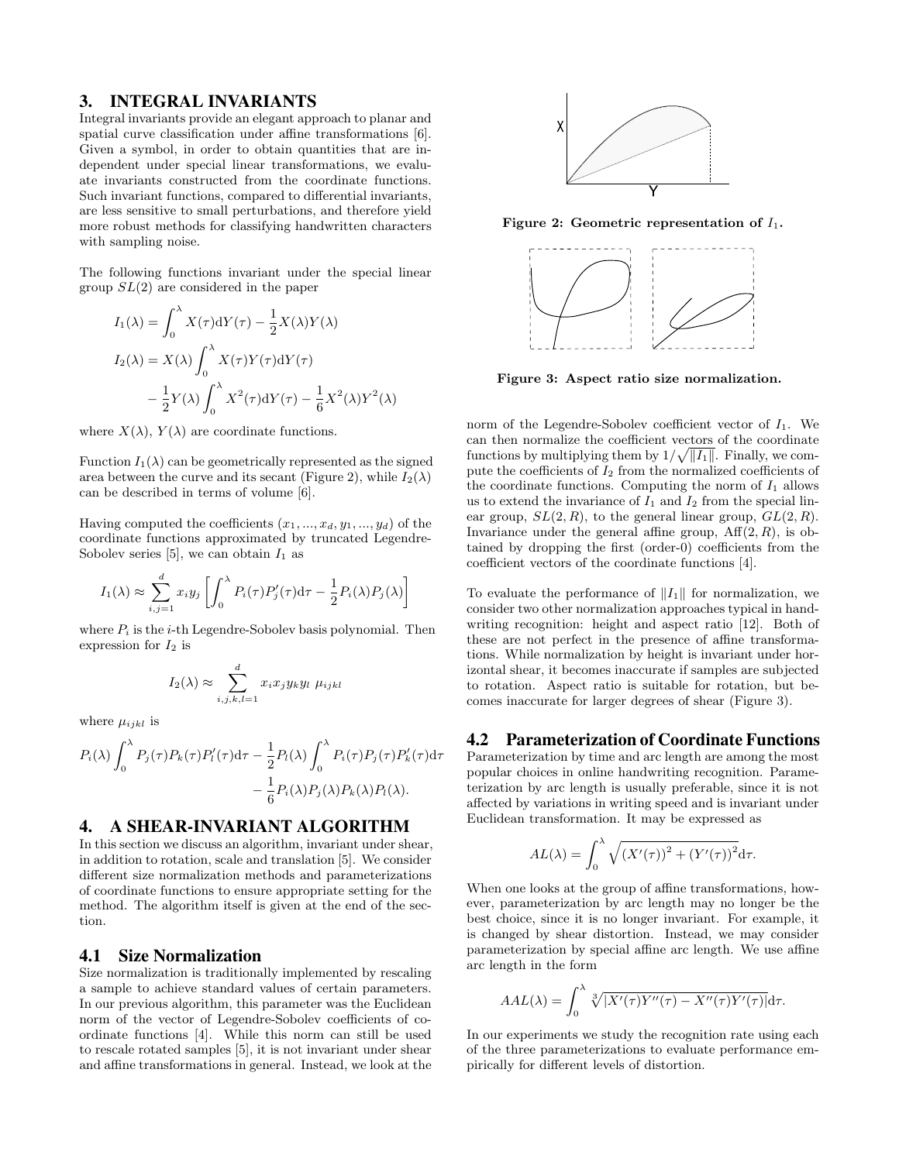## 3. INTEGRAL INVARIANTS

Integral invariants provide an elegant approach to planar and spatial curve classification under affine transformations [6]. Given a symbol, in order to obtain quantities that are independent under special linear transformations, we evaluate invariants constructed from the coordinate functions. Such invariant functions, compared to differential invariants, are less sensitive to small perturbations, and therefore yield more robust methods for classifying handwritten characters with sampling noise.

The following functions invariant under the special linear group  $SL(2)$  are considered in the paper

$$
I_1(\lambda) = \int_0^{\lambda} X(\tau) dY(\tau) - \frac{1}{2} X(\lambda) Y(\lambda)
$$
  
\n
$$
I_2(\lambda) = X(\lambda) \int_0^{\lambda} X(\tau) Y(\tau) dY(\tau)
$$
  
\n
$$
- \frac{1}{2} Y(\lambda) \int_0^{\lambda} X^2(\tau) dY(\tau) - \frac{1}{6} X^2(\lambda) Y^2(\lambda)
$$

where  $X(\lambda)$ ,  $Y(\lambda)$  are coordinate functions.

Function  $I_1(\lambda)$  can be geometrically represented as the signed area between the curve and its secant (Figure 2), while  $I_2(\lambda)$ can be described in terms of volume [6].

Having computed the coefficients  $(x_1, ..., x_d, y_1, ..., y_d)$  of the coordinate functions approximated by truncated Legendre-Sobolev series [5], we can obtain  $I_1$  as

$$
I_1(\lambda) \approx \sum_{i,j=1}^d x_i y_j \left[ \int_0^{\lambda} P_i(\tau) P'_j(\tau) d\tau - \frac{1}{2} P_i(\lambda) P_j(\lambda) \right]
$$

where  $P_i$  is the *i*-th Legendre-Sobolev basis polynomial. Then expression for  $I_2$  is

$$
I_2(\lambda) \approx \sum_{i,j,k,l=1}^d x_i x_j y_k y_l \mu_{ijkl}
$$

where  $\mu_{ijkl}$  is

$$
P_i(\lambda) \int_0^{\lambda} P_j(\tau) P_k(\tau) P'_l(\tau) d\tau - \frac{1}{2} P_l(\lambda) \int_0^{\lambda} P_i(\tau) P_j(\tau) P'_k(\tau) d\tau - \frac{1}{6} P_i(\lambda) P_j(\lambda) P_k(\lambda) P_l(\lambda).
$$

## 4. A SHEAR-INVARIANT ALGORITHM

In this section we discuss an algorithm, invariant under shear, in addition to rotation, scale and translation [5]. We consider different size normalization methods and parameterizations of coordinate functions to ensure appropriate setting for the method. The algorithm itself is given at the end of the section.

#### 4.1 Size Normalization

Size normalization is traditionally implemented by rescaling a sample to achieve standard values of certain parameters. In our previous algorithm, this parameter was the Euclidean norm of the vector of Legendre-Sobolev coefficients of coordinate functions [4]. While this norm can still be used to rescale rotated samples [5], it is not invariant under shear and affine transformations in general. Instead, we look at the



Figure 2: Geometric representation of  $I_1$ .



Figure 3: Aspect ratio size normalization.

norm of the Legendre-Sobolev coefficient vector of  $I_1$ . We can then normalize the coefficient vectors of the coordinate functions by multiplying them by  $1/\sqrt{\|I_1\|}$ . Finally, we compute the coefficients of  $I_2$  from the normalized coefficients of the coordinate functions. Computing the norm of  $I_1$  allows us to extend the invariance of  $I_1$  and  $I_2$  from the special linear group,  $SL(2, R)$ , to the general linear group,  $GL(2, R)$ . Invariance under the general affine group,  $\text{Aff}(2, R)$ , is obtained by dropping the first (order-0) coefficients from the coefficient vectors of the coordinate functions [4].

To evaluate the performance of  $||I_1||$  for normalization, we consider two other normalization approaches typical in handwriting recognition: height and aspect ratio [12]. Both of these are not perfect in the presence of affine transformations. While normalization by height is invariant under horizontal shear, it becomes inaccurate if samples are subjected to rotation. Aspect ratio is suitable for rotation, but becomes inaccurate for larger degrees of shear (Figure 3).

#### 4.2 Parameterization of Coordinate Functions

Parameterization by time and arc length are among the most popular choices in online handwriting recognition. Parameterization by arc length is usually preferable, since it is not affected by variations in writing speed and is invariant under Euclidean transformation. It may be expressed as

$$
AL(\lambda) = \int_0^{\lambda} \sqrt{(X'(\tau))^2 + (Y'(\tau))^2} d\tau.
$$

When one looks at the group of affine transformations, however, parameterization by arc length may no longer be the best choice, since it is no longer invariant. For example, it is changed by shear distortion. Instead, we may consider parameterization by special affine arc length. We use affine arc length in the form

$$
AAL(\lambda) = \int_0^{\lambda} \sqrt[3]{|X'(\tau)Y''(\tau) - X''(\tau)Y'(\tau)|} d\tau.
$$

In our experiments we study the recognition rate using each of the three parameterizations to evaluate performance empirically for different levels of distortion.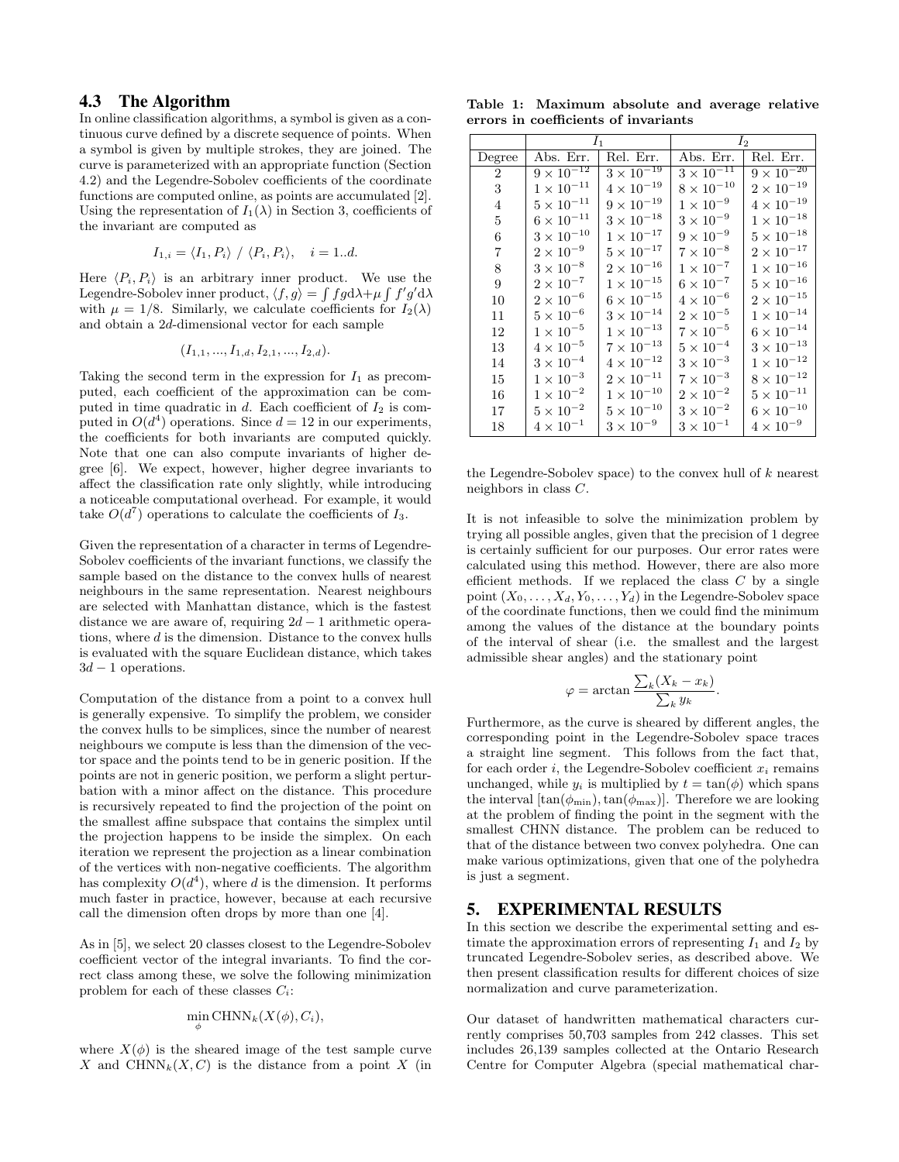## 4.3 The Algorithm

In online classification algorithms, a symbol is given as a continuous curve defined by a discrete sequence of points. When a symbol is given by multiple strokes, they are joined. The curve is parameterized with an appropriate function (Section 4.2) and the Legendre-Sobolev coefficients of the coordinate functions are computed online, as points are accumulated [2]. Using the representation of  $I_1(\lambda)$  in Section 3, coefficients of the invariant are computed as

$$
I_{1,i} = \langle I_1, P_i \rangle / \langle P_i, P_i \rangle, \quad i = 1..d.
$$

Here  $\langle P_i, P_i \rangle$  is an arbitrary inner product. We use the Legendre-Sobolev inner product,  $\langle f, g \rangle = \int f g d\lambda + \mu \int f' g' d\lambda$ with  $\mu = 1/8$ . Similarly, we calculate coefficients for  $I_2(\lambda)$ and obtain a 2d-dimensional vector for each sample

$$
(I_{1,1},...,I_{1,d},I_{2,1},...,I_{2,d}).
$$

Taking the second term in the expression for  $I_1$  as precomputed, each coefficient of the approximation can be computed in time quadratic in d. Each coefficient of  $I_2$  is computed in  $O(d^4)$  operations. Since  $d = 12$  in our experiments, the coefficients for both invariants are computed quickly. Note that one can also compute invariants of higher degree [6]. We expect, however, higher degree invariants to affect the classification rate only slightly, while introducing a noticeable computational overhead. For example, it would take  $O(d^7)$  operations to calculate the coefficients of  $I_3$ .

Given the representation of a character in terms of Legendre-Sobolev coefficients of the invariant functions, we classify the sample based on the distance to the convex hulls of nearest neighbours in the same representation. Nearest neighbours are selected with Manhattan distance, which is the fastest distance we are aware of, requiring  $2d - 1$  arithmetic operations, where d is the dimension. Distance to the convex hulls is evaluated with the square Euclidean distance, which takes  $3d - 1$  operations.

Computation of the distance from a point to a convex hull is generally expensive. To simplify the problem, we consider the convex hulls to be simplices, since the number of nearest neighbours we compute is less than the dimension of the vector space and the points tend to be in generic position. If the points are not in generic position, we perform a slight perturbation with a minor affect on the distance. This procedure is recursively repeated to find the projection of the point on the smallest affine subspace that contains the simplex until the projection happens to be inside the simplex. On each iteration we represent the projection as a linear combination of the vertices with non-negative coefficients. The algorithm has complexity  $O(d^4)$ , where d is the dimension. It performs much faster in practice, however, because at each recursive call the dimension often drops by more than one [4].

As in [5], we select 20 classes closest to the Legendre-Sobolev coefficient vector of the integral invariants. To find the correct class among these, we solve the following minimization problem for each of these classes  $C_i$ :

$$
\min_{\phi} \text{CHNN}_k(X(\phi), C_i),
$$

where  $X(\phi)$  is the sheared image of the test sample curve X and  $CHNN_k(X, C)$  is the distance from a point X (in

Table 1: Maximum absolute and average relative errors in coefficients of invariants

|                | $I_1$               |                     |                     | $I_2$               |
|----------------|---------------------|---------------------|---------------------|---------------------|
| Degree         | Abs. Err.           | Rel. Err.           | Abs. Err.           | Rel. Err.           |
| $\overline{2}$ | $9 \times 10^{-12}$ | $3 \times 10^{-19}$ | $3 \times 10^{-11}$ | $9 \times 10^{-20}$ |
| 3              | $1\times10^{-11}$   | $4\times10^{-19}$   | $8\times10^{-10}$   | $2\times10^{-19}$   |
| $\overline{4}$ | $5\times10^{-11}$   | $9\times10^{-19}$   | $1\times10^{-9}$    | $4\times10^{-19}$   |
| 5              | $6\times10^{-11}$   | $3\times10^{-18}$   | $3\times10^{-9}$    | $1\times10^{-18}$   |
| 6              | $3\times10^{-10}$   | $1\times10^{-17}$   | $9\times10^{-9}$    | $5\times10^{-18}$   |
| 7              | $2\times10^{-9}$    | $5\times10^{-17}$   | $7\times10^{-8}$    | $2\times10^{-17}$   |
| 8              | $3\times10^{-8}$    | $2\times10^{-16}$   | $1 \times 10^{-7}$  | $1\times10^{-16}$   |
| 9              | $2\times10^{-7}$    | $1\times10^{-15}$   | $6\times10^{-7}$    | $5\times10^{-16}$   |
| 10             | $2\times10^{-6}$    | $6\times10^{-15}$   | $4\times10^{-6}$    | $2\times10^{-15}$   |
| 11             | $5\times10^{-6}$    | $3\times10^{-14}$   | $2\times10^{-5}$    | $1\times10^{-14}$   |
| 12             | $1\times10^{-5}$    | $1\times10^{-13}$   | $7\times10^{-5}$    | $6\times10^{-14}$   |
| 13             | $4\times10^{-5}$    | $7\times10^{-13}$   | $5\times10^{-4}$    | $3\times10^{-13}$   |
| 14             | $3\times10^{-4}$    | $4\times10^{-12}$   | $3\times10^{-3}$    | $1\times10^{-12}$   |
| 15             | $1\times10^{-3}$    | $2\times10^{-11}$   | $7\times10^{-3}$    | $8\times10^{-12}$   |
| 16             | $1\times10^{-2}$    | $1\times10^{-10}$   | $2\times10^{-2}$    | $5\times10^{-11}$   |
| 17             | $5\times10^{-2}$    | $5\times10^{-10}$   | $3 \times 10^{-2}$  | $6\times10^{-10}$   |
| 18             | $4\times10^{-1}$    | $3\times10^{-9}$    | $3 \times 10^{-1}$  | $4\times10^{-9}$    |

the Legendre-Sobolev space) to the convex hull of k nearest neighbors in class C.

It is not infeasible to solve the minimization problem by trying all possible angles, given that the precision of 1 degree is certainly sufficient for our purposes. Our error rates were calculated using this method. However, there are also more efficient methods. If we replaced the class  $C$  by a single point  $(X_0, \ldots, X_d, Y_0, \ldots, Y_d)$  in the Legendre-Sobolev space of the coordinate functions, then we could find the minimum among the values of the distance at the boundary points of the interval of shear (i.e. the smallest and the largest admissible shear angles) and the stationary point

$$
\varphi = \arctan \frac{\sum_{k}(X_k - x_k)}{\sum_{k} y_k}.
$$

Furthermore, as the curve is sheared by different angles, the corresponding point in the Legendre-Sobolev space traces a straight line segment. This follows from the fact that, for each order  $i$ , the Legendre-Sobolev coefficient  $x_i$  remains unchanged, while  $y_i$  is multiplied by  $t = \tan(\phi)$  which spans the interval  $[\tan(\phi_{\rm min}), \tan(\phi_{\rm max})]$ . Therefore we are looking at the problem of finding the point in the segment with the smallest CHNN distance. The problem can be reduced to that of the distance between two convex polyhedra. One can make various optimizations, given that one of the polyhedra is just a segment.

# 5. EXPERIMENTAL RESULTS

In this section we describe the experimental setting and estimate the approximation errors of representing  $I_1$  and  $I_2$  by truncated Legendre-Sobolev series, as described above. We then present classification results for different choices of size normalization and curve parameterization.

Our dataset of handwritten mathematical characters currently comprises 50,703 samples from 242 classes. This set includes 26,139 samples collected at the Ontario Research Centre for Computer Algebra (special mathematical char-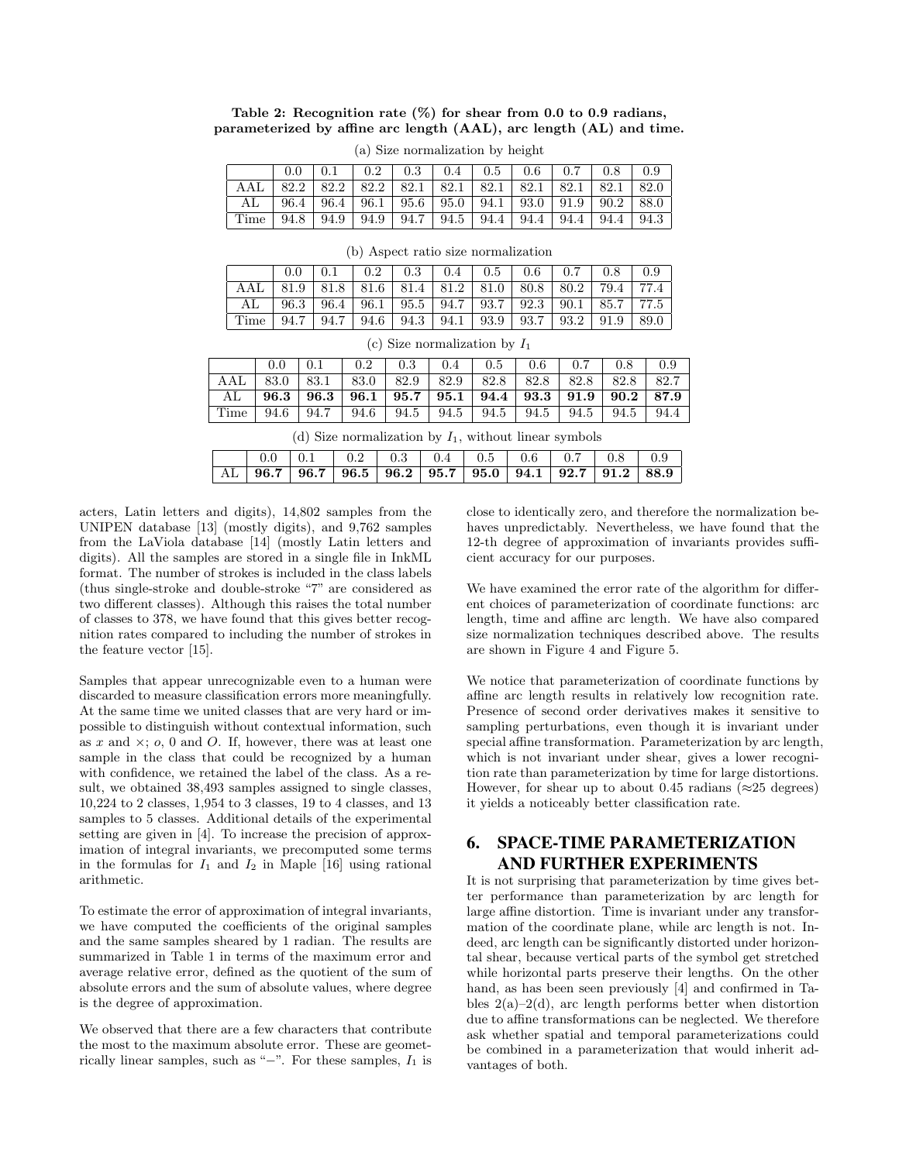Table 2: Recognition rate  $(\%)$  for shear from 0.0 to 0.9 radians, parameterized by affine arc length (AAL), arc length (AL) and time. (a) Size normalization by height

|                                                                                                |  |  |  |  | $0.0 \quad 0.1 \quad 0.2 \quad 0.3 \quad 0.4 \quad 0.5 \quad 0.6 \quad 0.7 \quad 0.8 \quad 0.9$ |  |
|------------------------------------------------------------------------------------------------|--|--|--|--|-------------------------------------------------------------------------------------------------|--|
| AAL   82.2   82.2   82.2   82.1   82.1   82.1   82.1   82.1   82.1   82.0                      |  |  |  |  |                                                                                                 |  |
|                                                                                                |  |  |  |  | AL $\vert$ 96.4   96.4   96.1   95.6   95.0   94.1   93.0   91.9   90.2   88.0                  |  |
| Time   $94.8$   $94.9$   $94.9$   $94.7$   $94.5$   $94.4$   $94.4$   $94.4$   $94.4$   $94.3$ |  |  |  |  |                                                                                                 |  |

(b) Aspect ratio size normalization

|      |      | 0.1 |  |  |  | $0.2$   $0.3$   $0.4$   $0.5$   $0.6$   $0.7$   $0.8$   $0.9$                           |  |
|------|------|-----|--|--|--|-----------------------------------------------------------------------------------------|--|
|      | 81.9 |     |  |  |  | 81.8   81.6   81.4   81.2   81.0   80.8   80.2   79.4   77.4                            |  |
|      |      |     |  |  |  | $96.3$   $96.4$   $96.1$   $95.5$   $94.7$   $93.7$   $92.3$   $90.1$   $85.7$   $77.5$ |  |
| Time | 94.7 |     |  |  |  | $94.7$   $94.6$   $94.3$   $94.1$   $93.9$   $93.7$   $93.2$   $91.9$   $89.0$          |  |

|    | $0.0 \pm 0.1$ |                                                                             |  | $0.2$   $0.3$   $0.4$   $0.5$   $0.6$   $0.7$   $0.8$   $0.9$ |  |  |  |
|----|---------------|-----------------------------------------------------------------------------|--|---------------------------------------------------------------|--|--|--|
|    |               | AAL   83.0   83.1   83.0   82.9   82.9   82.8   82.8   82.8   82.8   82.7   |  |                                                               |  |  |  |
| AL |               | $\vert$ 96.3   96.3   96.1   95.7   95.1   94.4   93.3   91.9   90.2   87.9 |  |                                                               |  |  |  |
|    |               | Time   94.6   94.7   94.6   94.5   94.5   94.5   94.5   94.5   94.5   94.4  |  |                                                               |  |  |  |

|  | (d) Size normalization by $I_1$ , without linear symbols |  |  |  |  |  |
|--|----------------------------------------------------------|--|--|--|--|--|
|--|----------------------------------------------------------|--|--|--|--|--|

|  |  |  | AL   96.7   96.7   96.5   96.2   95.7   95.0   94.1   92.7   91.2   88.9 |  |  |
|--|--|--|--------------------------------------------------------------------------|--|--|

acters, Latin letters and digits), 14,802 samples from the UNIPEN database [13] (mostly digits), and 9,762 samples from the LaViola database [14] (mostly Latin letters and digits). All the samples are stored in a single file in InkML format. The number of strokes is included in the class labels (thus single-stroke and double-stroke "7" are considered as two different classes). Although this raises the total number of classes to 378, we have found that this gives better recognition rates compared to including the number of strokes in the feature vector [15].

Samples that appear unrecognizable even to a human were discarded to measure classification errors more meaningfully. At the same time we united classes that are very hard or impossible to distinguish without contextual information, such as  $x$  and  $\times$ ;  $o$ , 0 and  $O$ . If, however, there was at least one sample in the class that could be recognized by a human with confidence, we retained the label of the class. As a result, we obtained 38,493 samples assigned to single classes, 10,224 to 2 classes, 1,954 to 3 classes, 19 to 4 classes, and 13 samples to 5 classes. Additional details of the experimental setting are given in [4]. To increase the precision of approximation of integral invariants, we precomputed some terms in the formulas for  $I_1$  and  $I_2$  in Maple [16] using rational arithmetic.

To estimate the error of approximation of integral invariants, we have computed the coefficients of the original samples and the same samples sheared by 1 radian. The results are summarized in Table 1 in terms of the maximum error and average relative error, defined as the quotient of the sum of absolute errors and the sum of absolute values, where degree is the degree of approximation.

We observed that there are a few characters that contribute the most to the maximum absolute error. These are geometrically linear samples, such as "−". For these samples,  $I_1$  is close to identically zero, and therefore the normalization behaves unpredictably. Nevertheless, we have found that the 12-th degree of approximation of invariants provides sufficient accuracy for our purposes.

We have examined the error rate of the algorithm for different choices of parameterization of coordinate functions: arc length, time and affine arc length. We have also compared size normalization techniques described above. The results are shown in Figure 4 and Figure 5.

We notice that parameterization of coordinate functions by affine arc length results in relatively low recognition rate. Presence of second order derivatives makes it sensitive to sampling perturbations, even though it is invariant under special affine transformation. Parameterization by arc length, which is not invariant under shear, gives a lower recognition rate than parameterization by time for large distortions. However, for shear up to about 0.45 radians ( $\approx$ 25 degrees) it yields a noticeably better classification rate.

# 6. SPACE-TIME PARAMETERIZATION AND FURTHER EXPERIMENTS

It is not surprising that parameterization by time gives better performance than parameterization by arc length for large affine distortion. Time is invariant under any transformation of the coordinate plane, while arc length is not. Indeed, arc length can be significantly distorted under horizontal shear, because vertical parts of the symbol get stretched while horizontal parts preserve their lengths. On the other hand, as has been seen previously [4] and confirmed in Tables  $2(a)-2(d)$ , arc length performs better when distortion due to affine transformations can be neglected. We therefore ask whether spatial and temporal parameterizations could be combined in a parameterization that would inherit advantages of both.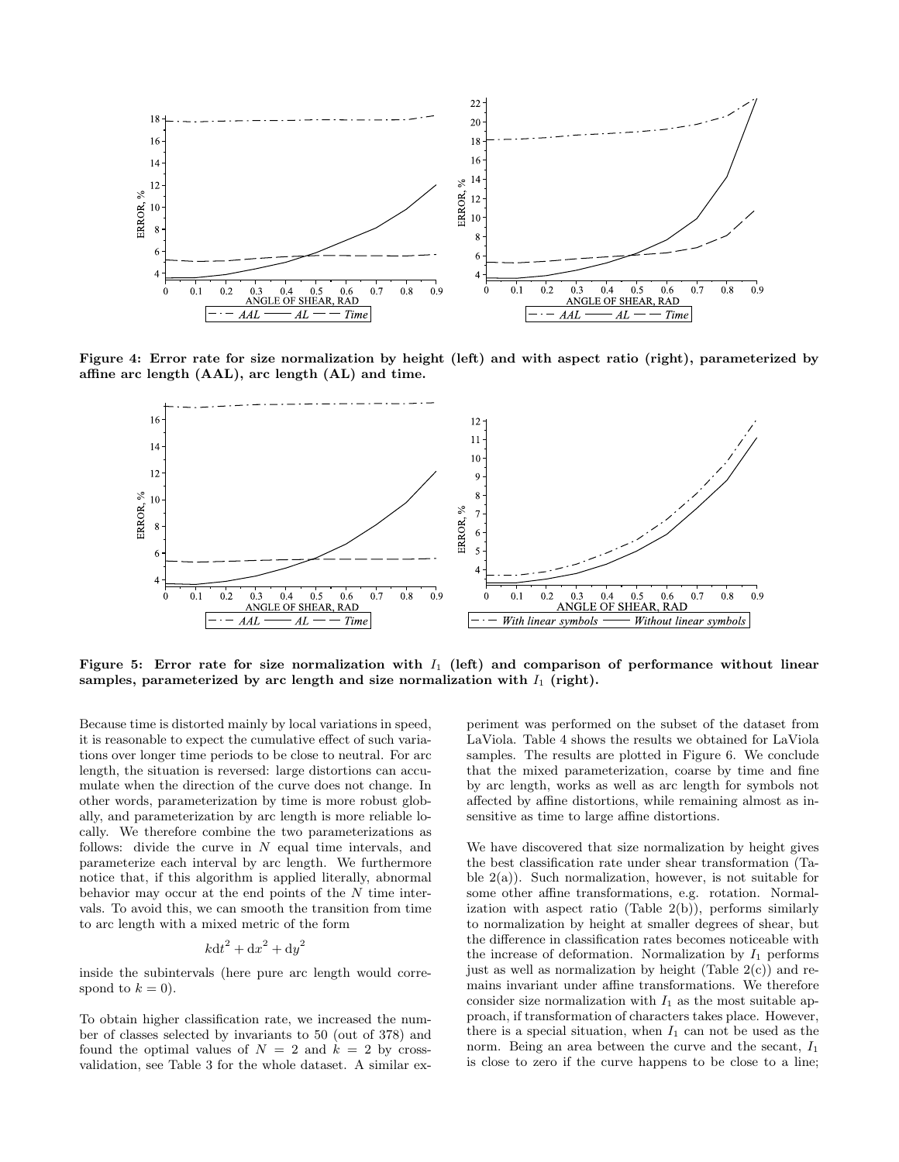

Figure 4: Error rate for size normalization by height (left) and with aspect ratio (right), parameterized by affine arc length (AAL), arc length (AL) and time.



Figure 5: Error rate for size normalization with  $I_1$  (left) and comparison of performance without linear samples, parameterized by arc length and size normalization with  $I_1$  (right).

Because time is distorted mainly by local variations in speed, it is reasonable to expect the cumulative effect of such variations over longer time periods to be close to neutral. For arc length, the situation is reversed: large distortions can accumulate when the direction of the curve does not change. In other words, parameterization by time is more robust globally, and parameterization by arc length is more reliable locally. We therefore combine the two parameterizations as follows: divide the curve in  $N$  equal time intervals, and parameterize each interval by arc length. We furthermore notice that, if this algorithm is applied literally, abnormal behavior may occur at the end points of the  $N$  time intervals. To avoid this, we can smooth the transition from time to arc length with a mixed metric of the form

$$
k\mathrm{d}t^2 + \mathrm{d}x^2 + \mathrm{d}y^2
$$

inside the subintervals (here pure arc length would correspond to  $k = 0$ ).

To obtain higher classification rate, we increased the number of classes selected by invariants to 50 (out of 378) and found the optimal values of  $N = 2$  and  $k = 2$  by crossvalidation, see Table 3 for the whole dataset. A similar experiment was performed on the subset of the dataset from LaViola. Table 4 shows the results we obtained for LaViola samples. The results are plotted in Figure 6. We conclude that the mixed parameterization, coarse by time and fine by arc length, works as well as arc length for symbols not affected by affine distortions, while remaining almost as insensitive as time to large affine distortions.

We have discovered that size normalization by height gives the best classification rate under shear transformation (Table  $2(a)$ ). Such normalization, however, is not suitable for some other affine transformations, e.g. rotation. Normalization with aspect ratio (Table  $2(b)$ ), performs similarly to normalization by height at smaller degrees of shear, but the difference in classification rates becomes noticeable with the increase of deformation. Normalization by  $I_1$  performs just as well as normalization by height (Table  $2(c)$ ) and remains invariant under affine transformations. We therefore consider size normalization with  $I_1$  as the most suitable approach, if transformation of characters takes place. However, there is a special situation, when  $I_1$  can not be used as the norm. Being an area between the curve and the secant,  $I_1$ is close to zero if the curve happens to be close to a line;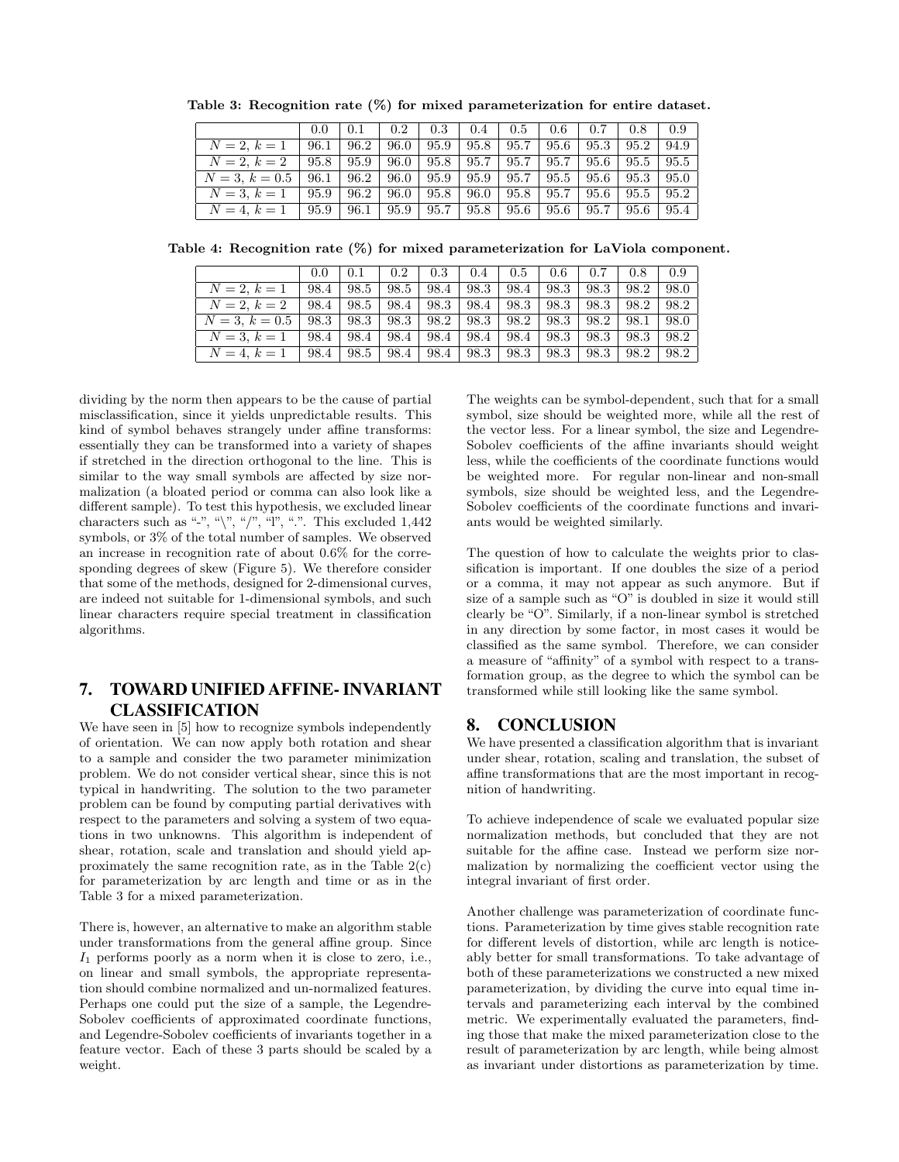|                                                                                                                         | $0.0 \pm 0.1 \pm 0.2 \pm 0.3 \pm 0.4 \pm 0.5 \pm 0.6 \pm 0.7 \pm 0.8 \pm 0.9$ |  |  |  |  |
|-------------------------------------------------------------------------------------------------------------------------|-------------------------------------------------------------------------------|--|--|--|--|
| $N = 2, k = 1$   96.1   96.2   96.0   95.9   95.8   95.7   95.6   95.3   95.2   94.9                                    |                                                                               |  |  |  |  |
| $N = 2, k = 2$   95.8   95.9   96.0   95.8   95.7   95.7   95.7   95.6   95.5   95.5                                    |                                                                               |  |  |  |  |
| $N = 3, k = 0.5$   96.1   96.2   96.0   95.9   95.9   95.7   95.5   95.6   95.3   95.0                                  |                                                                               |  |  |  |  |
| $N = 3, k = 1 \mid 95.9 \mid 96.2 \mid 96.0 \mid 95.8 \mid 96.0 \mid 95.8 \mid 95.7 \mid 95.6 \mid 95.5 \mid 95.2 \mid$ |                                                                               |  |  |  |  |
| $N = 4, k = 1 \quad   95.9   96.1   95.9   95.7   95.8   95.6   95.6   95.7   95.6   95.4$                              |                                                                               |  |  |  |  |

Table 3: Recognition rate (%) for mixed parameterization for entire dataset.

Table 4: Recognition rate (%) for mixed parameterization for LaViola component.

|                                                                                        | $0.0^-$ | $\vert 0.1 \vert 0.2 \vert 0.3 \vert 0.4 \vert 0.5 \vert 0.6 \vert 0.7 \vert 0.8 \vert 0.9$ |  |  |  |      |
|----------------------------------------------------------------------------------------|---------|---------------------------------------------------------------------------------------------|--|--|--|------|
| $N = 2, k = 1$   98.4   98.5   98.5   98.4   98.3   98.4   98.3   98.3   98.2          |         |                                                                                             |  |  |  | 98.0 |
| $N = 2, k = 2$   98.4   98.5   98.4   98.3   98.4   98.3   98.3   98.3   98.2   98.2   |         |                                                                                             |  |  |  |      |
| $N = 3, k = 0.5$   98.3   98.3   98.3   98.2   98.3   98.2   98.3   98.2   98.1   98.0 |         |                                                                                             |  |  |  |      |
| $N = 3, k = 1$   98.4   98.4   98.4   98.4   98.4   98.4   98.3   98.3   98.3   98.2   |         |                                                                                             |  |  |  |      |
| $N = 4, k = 1$   98.4   98.5   98.4   98.4   98.3   98.3   98.3   98.3   98.2   98.2   |         |                                                                                             |  |  |  |      |

dividing by the norm then appears to be the cause of partial misclassification, since it yields unpredictable results. This kind of symbol behaves strangely under affine transforms: essentially they can be transformed into a variety of shapes if stretched in the direction orthogonal to the line. This is similar to the way small symbols are affected by size normalization (a bloated period or comma can also look like a different sample). To test this hypothesis, we excluded linear characters such as "-", " $\langle$ ", ", ", ", ".". This excluded 1,442 symbols, or 3% of the total number of samples. We observed an increase in recognition rate of about 0.6% for the corresponding degrees of skew (Figure 5). We therefore consider that some of the methods, designed for 2-dimensional curves, are indeed not suitable for 1-dimensional symbols, and such linear characters require special treatment in classification algorithms.

# 7. TOWARD UNIFIED AFFINE- INVARIANT CLASSIFICATION

We have seen in [5] how to recognize symbols independently of orientation. We can now apply both rotation and shear to a sample and consider the two parameter minimization problem. We do not consider vertical shear, since this is not typical in handwriting. The solution to the two parameter problem can be found by computing partial derivatives with respect to the parameters and solving a system of two equations in two unknowns. This algorithm is independent of shear, rotation, scale and translation and should yield approximately the same recognition rate, as in the Table  $2(c)$ for parameterization by arc length and time or as in the Table 3 for a mixed parameterization.

There is, however, an alternative to make an algorithm stable under transformations from the general affine group. Since  $I_1$  performs poorly as a norm when it is close to zero, i.e., on linear and small symbols, the appropriate representation should combine normalized and un-normalized features. Perhaps one could put the size of a sample, the Legendre-Sobolev coefficients of approximated coordinate functions, and Legendre-Sobolev coefficients of invariants together in a feature vector. Each of these 3 parts should be scaled by a weight.

The weights can be symbol-dependent, such that for a small symbol, size should be weighted more, while all the rest of the vector less. For a linear symbol, the size and Legendre-Sobolev coefficients of the affine invariants should weight less, while the coefficients of the coordinate functions would be weighted more. For regular non-linear and non-small symbols, size should be weighted less, and the Legendre-Sobolev coefficients of the coordinate functions and invariants would be weighted similarly.

The question of how to calculate the weights prior to classification is important. If one doubles the size of a period or a comma, it may not appear as such anymore. But if size of a sample such as "O" is doubled in size it would still clearly be "O". Similarly, if a non-linear symbol is stretched in any direction by some factor, in most cases it would be classified as the same symbol. Therefore, we can consider a measure of "affinity" of a symbol with respect to a transformation group, as the degree to which the symbol can be transformed while still looking like the same symbol.

# 8. CONCLUSION

We have presented a classification algorithm that is invariant under shear, rotation, scaling and translation, the subset of affine transformations that are the most important in recognition of handwriting.

To achieve independence of scale we evaluated popular size normalization methods, but concluded that they are not suitable for the affine case. Instead we perform size normalization by normalizing the coefficient vector using the integral invariant of first order.

Another challenge was parameterization of coordinate functions. Parameterization by time gives stable recognition rate for different levels of distortion, while arc length is noticeably better for small transformations. To take advantage of both of these parameterizations we constructed a new mixed parameterization, by dividing the curve into equal time intervals and parameterizing each interval by the combined metric. We experimentally evaluated the parameters, finding those that make the mixed parameterization close to the result of parameterization by arc length, while being almost as invariant under distortions as parameterization by time.